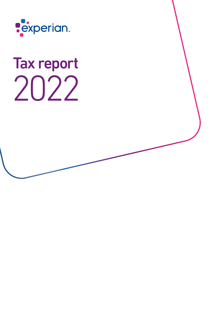

# Tax report 2022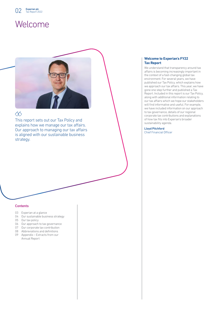# Welcome



## $\langle \hat{\mathbf{x}} \rangle$

This report sets out our Tax Policy and explains how we manage our tax affairs. Our approach to managing our tax affairs is aligned with our sustainable business strategy.

### **Contents**

- 03 Experian at a glance
- 04 Our sustainable business strategy
- 05 Our tax policy
- 06 Our approach to tax governance
- 07 Our corporate tax contribution
- 08 Abbreviations and definitions
- 09 Appendix Extracts from our Annual Report

### **Welcome to Experian's FY22 Tax Report**

We understand that transparency around tax affairs is becoming increasingly important in the context of a fast-changing global tax environment. For several years, we have published our Tax Policy, which explains how we approach our tax affairs. This year, we have gone one step further and published a Tax Report. Included in this report is our Tax Policy, along with additional information relating to our tax affairs which we hope our stakeholders will find informative and useful. For example, we have included information on our approach to tax governance, details of our regional corporate tax contributions and explanations of how tax fits into Experian's broader sustainability agenda.

Lloyd Pitchford Chief Financial Officer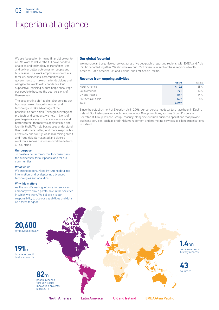# Experian at a glance

We are focused on bringing financial power to all. We want to deliver the full power of data, analytics and technology to transform lives and deliver better outcomes for people and businesses. Our work empowers individuals, families, businesses, communities and governments to make smarter decisions and navigate the world with confidence. Our supportive, inspiring culture helps encourage our people to become the best versions of themselves.

The accelerating shift to digital underpins our business. We embrace innovation and technology to take advantage of the possibilities data holds. Through our range of products and solutions, we help millions of people gain access to financial services, and better protect themselves against fraud and identity theft. We help businesses understand their customers better, lend more responsibly, effectively and swiftly, while minimising credit and fraud risk. Our talented and diverse workforce serves customers worldwide from 43 countries.

#### Our purpose

To create a better tomorrow for consumers, for businesses, for our people and for our communities.

#### What we do

We create opportunities by turning data into information, and by deploying advanced technologies and analytics.

#### Why this matters

As the world's leading information services company we play a pivotal role in the societies in which we work. We believe it is our responsibility to use our capabilities and data as a force for good.

### **Our global footprint**

We manage and organise ourselves across five geographic reporting regions, with EMEA and Asia Pacific reported together. We show below our FY22 revenue in each of these regions – North America, Latin America, UK and Ireland, and EMEA/Asia Pacific.

### **Revenue from ongoing activities**

|                          | US\$ <sub>m</sub> | % split |
|--------------------------|-------------------|---------|
| North America            | 4,122             | 65%     |
| Latin America            | 791               | 13%     |
| UK and Ireland           | 847               | 14%     |
| <b>EMEA/Asia Pacific</b> | 507               | 8%      |
| Total                    | 6.267             |         |

Since the establishment of Experian plc in 2006, our corporate headquarters have been in Dublin, Ireland. Our Irish operations include some of our Group functions, such as Group Corporate Secretariat, Group Tax and Group Treasury, alongside our Irish business operations that provide business services, such as credit risk management and marketing services, to client organisations in Ireland.



**North America Latin America UK and Ireland EMEA/Asia Pacific**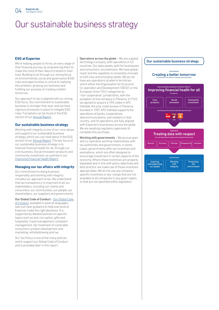# Our sustainable business strategy

### **ESG at Experian**

We're helping people to thrive, at every stage of their financial journey, by empowering them to make the most of their data to transform their lives. Building trust through our strong focus on environmental, social and governance (ESG) risks and opportunities is critical to realising this ambition, growing our business and fulfilling our purpose of creating a better tomorrow.

Our approach to tax is aligned with our strong ESG focus. Our commitment to sustainable business is stronger than ever, and we have rigorous processes in place to mitigate ESG risks. Full details can be found in the ESG section of our [Annual Report](https://www.experianplc.com/Experian-Annual-Report-2022).

### **Our sustainable business strategy**

Working with integrity is one of our core values and supports our sustainable business strategy, which you can read about in the ESG section of our [Annual Report](https://www.experianplc.com/Experian-Annual-Report-2022). The key focus of our sustainable business strategy is to improve financial health for all, through our core business, Social Innovation products and community investment, as outlined in our [Improving Financial Health Report](https://www.experianplc.com/Experian-Improving-Financial-Health-Report-2022).

### **Managing our tax affairs with integrity**

Our commitment to doing business responsibly and working with integrity includes our approach to tax. We understand that tax transparency is important to all our stakeholders, including our clients and consumers, our communities, our people, our shareholders, our suppliers and governments.

Our Global Code of Conduct – [Our Global Code](https://www.experianplc.com/responsibility/our-policies/)  [of Conduct,](https://www.experianplc.com/responsibility/our-policies/) available in several languages, sets out clear guidance to help everyone at Experian make the right decisions. It is supported by detailed policies on specific topics such as anti-corruption, gifts and hospitality, fraud management, complaint management, fair treatment of vulnerable consumers, product development and

Our Tax Policy is one of the many policies which support our Global Code of Conduct and is provided later in this report.

marketing, whistleblowing and tax.

Operations across the globe - We are a global technology company, with operations in 43 countries. Our data assets, both for businesses and consumers, are extensive. We have global reach and the capability to constantly innovate to fulfil new and emerging needs. We do not have any operations located in territories which either the Organisation for Economic Co-operation and Development ('OECD') or the European Union ('EU') categorise as "non-cooperative" jurisdictions, with the exception of one company in Panama. In FY22, we agreed to acquire a 70% stake in APC Intelidat, the only credit bureau in Panama, founded in 1957. APC Intelidat supports the operations of banks, cooperatives, telecommunications, and retailers in that country, and its operations are fully aligned with Experian's businesses across the globe. We are awaiting regulatory approvals to complete this purchase.

Working with governments – We pursue open and co-operative working relationships with tax authorities and governments. In some cases, governments offer tax incentives and exemptions, which are often designed to encourage investment in certain aspects of the economy. Where these incentives are properly legislated and in line with policy objectives and best practice, we make use of those incentives appropriately. We do not use any companyspecific incentives or any rulings that are not available to all companies in any given region, or that are not specified within legislation.

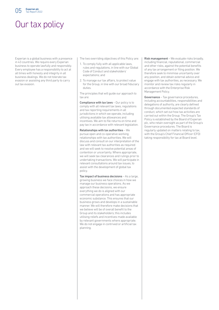

# Our tax policy

Experian is a global business with a presence in 43 countries. We require every Experian business to operate lawfully and responsibly. Every employee has a responsibility to act at all times with honesty and integrity in all business dealings. We do not tolerate tax evasion or assisting any third party to carry out tax evasion.

The two overriding objectives of this Policy are:

- 1. To comply fully with all applicable laws, rules and regulations, in line with our Global Code of Conduct and stakeholders' expectations; and
- 2. To manage our tax affairs, to protect value for the Group, in line with our broad fiduciary duties.

The principles that will guide our approach to tax are:

Compliance with tax laws - Our policy is to comply with all relevant tax laws, regulations and tax reporting requirements in all jurisdictions in which we operate, including utilising available tax allowances and incentives. We aim to file returns on time and pay tax in accordance with relevant legislation.

Relationships with tax authorities – We pursue open and co-operative working relationships with tax authorities. We will discuss and consult on our interpretation of the law with relevant tax authorities as required and we will seek to resolve potential areas of contention or uncertainty. Where appropriate, we will seek tax clearances and rulings prior to undertaking transactions. We will participate in relevant consultations around tax issues, to assist with the development of global tax policy.

Tax impact of business decisions – As a large, growing business we face choices in how we manage our business operations. As we approach these decisions, we ensure everything we do is aligned with our commercial operations and has appropriate economic substance. This ensures that our business grows and develops in a sustainable manner. We will therefore make decisions that we believe will be of overall benefit to the Group and its stakeholders; this includes utilising reliefs and incentives made available by relevant governments where appropriate. We do not engage in contrived or artificial tax planning.

Risk management – We evaluate risks broadly, including financial, reputational, commercial and other risks, against the potential benefits of any tax arrangement or filing position. We therefore seek to minimise uncertainty over any position, and obtain external advice and engage with tax authorities, as necessary. We monitor and review tax risks regularly in accordance with the Enterprise Risk Management Policy.

Governance - Tax governance procedures, including accountabilities, responsibilities and delegations of authority, are clearly defined through documented expected standards of conduct, which set out how tax activities are carried out within the Group. The Group's Tax Policy is established by the Board of Experian plc, who retain oversight as part of the Group's Governance procedures. The Board is regularly updated on matters relating to tax, with the Group's Chief Financial Officer (CFO) taking responsibility for tax at Board level.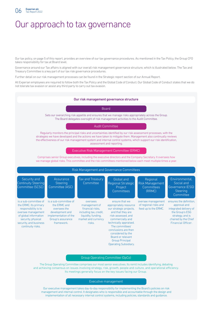

# Our approach to tax governance

Our tax policy, on page 5 of this report, provides an overview of our tax governance procedures. As mentioned in the Tax Policy, the Group CFO takes responsibility for tax at Board level.

Governance around our Tax affairs is aligned with our overall risk management governance structure, which is illustrated below. The Tax and Treasury Committee is a key part of our tax risk governance procedures.

Further detail on our risk management processes can be found in the Strategic report section of our Annual Report.

All Experian employees are required to follow both the Tax Policy and the Global Code of Conduct. Our Global Code of Conduct states that we do not tolerate tax evasion or assist any third party to carry out tax evasion.



The Group Operating Committee comprises our most senior executives. Its remit includes identifying, debating and achieving consensus on issues involving strategy, risk, growth, people and culture, and operational efficiency. Its meetings generally focus on the key issues facing our Group.

#### Executive management

Our executive management takes day-to-day responsibility for implementing the Board's policies on risk management and internal control. It designates who is responsible and accountable through the design and implementation of all necessary internal control systems, including policies, standards and guidance.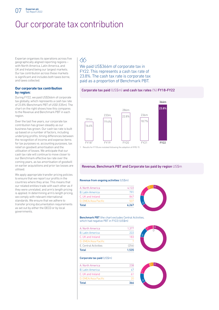

# Our corporate tax contribution

Experian organises its operations across five geographically aligned reporting regions – with North America, Latin America, and UK and Ireland being our largest markets. Our tax contribution across these markets is significant and includes both taxes borne, and taxes collected.

### **Our corporate tax contribution by region:**

During FY22, we paid US\$366m of corporate tax globally, which represents a cash tax rate of 23.8% (Benchmark PBT of US\$1,535m). The chart on the right shows how this compares to the Revenue and Benchmark PBT in each region.

Over the last five years, our corporate tax contribution has grown steadily as our business has grown. Our cash tax rate is built up based on a number of factors, including underlying profits, timing differences between the recognition of income and expense items for tax purposes vs. accounting purposes, tax relief on goodwill amortisation and the utilisation of losses. We anticipate that our cash tax rate will continue to move closer to our Benchmark effective tax rate over the coming years, as tax amortisation of goodwill on earlier acquisitions and prior tax losses are utilised.

We apply appropriate transfer pricing policies to ensure that we report our profits in the countries where they arise. This means that our related entities trade with each other as if they were unrelated, and arm's length pricing is applied. In determining arm's length pricing, we comply with relevant international standards. We ensure that we adhere to transfer pricing documentation requirements as set out by either the OECD or by local governments.

# $\otimes$

We paid US\$366m of corporate tax in FY22. This represents a cash tax rate of 23.8%. The cash tax rate is corporate tax paid as a proportion of Benchmark PBT.

### Corporate tax paid (US\$m) and cash tax rates (%) FY18-FY22



1 Results for FY18 are restated following the adoption of IFRS 15

### Revenue, Benchmark PBT and Corporate tax paid by region US\$m

### Revenue from ongoing activities (US\$m)

| <b>Total</b>            | 6.267 |
|-------------------------|-------|
| D. EMEA/Asia Pacific    | 507   |
| C. UK and Ireland       | 847   |
| <b>B. Latin America</b> | 791   |
| A North America         | 4.122 |



Benchmark PBT (the chart excludes Central Activities, which had negative PBT in FY22) (US\$m)

| Total                       | 1.535 |
|-----------------------------|-------|
| <b>F</b> Central Activities | (254) |
| D. EMEA/Asia Pacific        |       |
| C. UK and Ireland           | 183   |
| <b>B</b> Latin America      | 222   |
| A North America             | 1.377 |

#### Corporate tax paid (US\$m)

| Total                   | 366 |
|-------------------------|-----|
| D. EMEA/Asia Pacific    | 2Π  |
| C. UK and Ireland       | 61  |
| <b>B. Latin America</b> | 47  |
| A North America         | 238 |



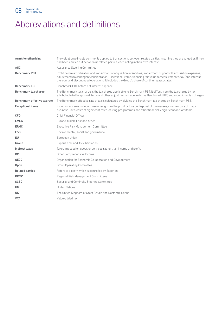

# Abbreviations and definitions

| Arm's length pricing         | The valuation principle commonly applied to transactions between related parties, meaning they are valued as if they<br>had been carried out between unrelated parties, each acting in their own interest.                                                                                                                                 |
|------------------------------|--------------------------------------------------------------------------------------------------------------------------------------------------------------------------------------------------------------------------------------------------------------------------------------------------------------------------------------------|
| <b>ASC</b>                   | Assurance Steering Committee                                                                                                                                                                                                                                                                                                               |
| <b>Benchmark PBT</b>         | Profit before amortisation and impairment of acquisition intangibles, impairment of goodwill, acquisition expenses,<br>adjustments to contingent consideration, Exceptional items, financing fair value remeasurements, tax (and interest<br>thereon) and discontinued operations. It includes the Group's share of continuing associates. |
| <b>Benchmark EBIT</b>        | Benchmark PBT before net interest expense.                                                                                                                                                                                                                                                                                                 |
| Benchmark tax charge         | The Benchmark tax charge is the tax charge applicable to Benchmark PBT. It differs from the tax charge by tax<br>attributable to Exceptional items and other adjustments made to derive Benchmark PBT, and exceptional tax charges.                                                                                                        |
| Benchmark effective tax rate | The Benchmark effective rate of tax is calculated by dividing the Benchmark tax charge by Benchmark PBT.                                                                                                                                                                                                                                   |
| <b>Exceptional items</b>     | Exceptional items include those arising from the profit or loss on disposal of businesses, closure costs of major<br>business units, costs of significant restructuring programmes and other financially significant one-off items.                                                                                                        |
| <b>CFO</b>                   | <b>Chief Financial Officer</b>                                                                                                                                                                                                                                                                                                             |
| <b>EMEA</b>                  | Europe, Middle East and Africa                                                                                                                                                                                                                                                                                                             |
| <b>ERMC</b>                  | Executive Risk Management Committee                                                                                                                                                                                                                                                                                                        |
| <b>ESG</b>                   | Environmental, social and governance                                                                                                                                                                                                                                                                                                       |
| EU                           | European Union                                                                                                                                                                                                                                                                                                                             |
| Group                        | Experian plc and its subsidiaries                                                                                                                                                                                                                                                                                                          |
| Indirect taxes               | Taxes imposed on goods or services rather than income and profit.                                                                                                                                                                                                                                                                          |
| <b>OCI</b>                   | Other Comprehensive Income                                                                                                                                                                                                                                                                                                                 |
| <b>OECD</b>                  | Organisation for Economic Co-operation and Development                                                                                                                                                                                                                                                                                     |
| OpCo                         | <b>Group Operating Committee</b>                                                                                                                                                                                                                                                                                                           |
| <b>Related parties</b>       | Refers to a party which is controlled by Experian                                                                                                                                                                                                                                                                                          |
| <b>RRMC</b>                  | Regional Risk Management Committees                                                                                                                                                                                                                                                                                                        |
| <b>SCSC</b>                  | Security and Continuity Steering Committee                                                                                                                                                                                                                                                                                                 |
| <b>UN</b>                    | <b>United Nations</b>                                                                                                                                                                                                                                                                                                                      |
| <b>UK</b>                    | The United Kingdom of Great Britain and Northern Ireland                                                                                                                                                                                                                                                                                   |
| <b>VAT</b>                   | Value-added tax                                                                                                                                                                                                                                                                                                                            |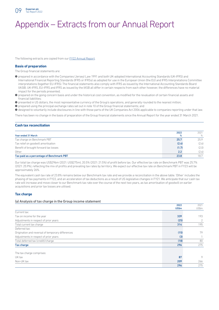

# Appendix – Extracts from our Annual Report

The following extracts are copied from our **FY22 Annual Report**.

### **Basis of preparation**

The Group financial statements are:

- a prepared in accordance with the Companies (Jersey) Law 1991 and both UK-adopted International Accounting Standards (UK-IFRS) and International Financial Reporting Standards (IFRS or IFRSs) as adopted for use in the European Union (the EU) and IFRS Interpretations Committee interpretations (together EU-IFRS). The financial statements also comply with IFRS as issued by the International Accounting Standards Board (IASB). UK-IFRS, EU-IFRS and IFRS as issued by the IASB all differ in certain respects from each other however, the differences have no material impact for the periods presented;
- a prepared on the going concern basis and under the historical cost convention, as modified for the revaluation of certain financial assets and financial liabilities;
- a presented in US dollars, the most representative currency of the Group's operations, and generally rounded to the nearest million;
- a prepared using the principal exchange rates set out in note 10 of the Group financial statements; and

a designed to voluntarily include disclosures in line with those parts of the UK Companies Act 2006 applicable to companies reporting under that law.

There has been no change in the basis of preparation of the Group financial statements since the Annual Report for the year ended 31 March 2021.

### **Cash tax reconciliation**

|                                           | 2022  | 2021  |
|-------------------------------------------|-------|-------|
| Year ended 31 March                       | ℅     | %     |
| Tax charge on Benchmark PBT               | 25.7  | 25.9  |
| Tax relief on goodwill amortisation       | (2.4) | (2.6) |
| Benefit of brought forward tax losses     | (1.7) | (2.0) |
| Other                                     | 2.2   | (2.6) |
| Tax paid as a percentage of Benchmark PBT | 23.8  | 18.7  |

Our total tax charge was US\$296m (2021: US\$275m), 20.5% (2021: 21.5%) of profit before tax. Our effective tax rate on Benchmark PBT was 25.7% (2021: 25.9%), reflecting the mix of profits and prevailing tax rates by territory. We expect our effective tax rate on Benchmark PBT in FY23 will be approximately 26%.

The equivalent cash tax rate of 23.8% remains below our Benchmark tax rate and we provide a reconciliation in the above table. 'Other' includes the phasing of tax payments in FY22, and an acceleration of tax deductions as a result of US legislative changes in FY21. We anticipate that our cash tax rate will increase and move closer to our Benchmark tax rate over the course of the next two years, as tax amortisation of goodwill on earlier acquisitions and prior tax losses are utilised.

### **Tax charge**

### (a) Analysis of tax charge in the Group income statement

|                                                   | 2022  | 2021           |
|---------------------------------------------------|-------|----------------|
|                                                   | US\$m | US\$m          |
| Current tax:                                      |       |                |
| Tax on income for the year                        | 339   | 193            |
| Adjustments in respect of prior years             | (25)  | $\overline{2}$ |
| Total current tax charge                          | 314   | 195            |
| Deferred tax:                                     |       |                |
| Origination and reversal of temporary differences | (15)  | 79             |
| Adjustments in respect of prior years             | (3)   |                |
| Total deferred tax (credit)/charge                | (18)  | 80             |
| Tax charge                                        | 296   | 275            |
|                                                   |       |                |
| The tax charge comprises:                         |       |                |
| UK tax                                            | 87    | 9              |
| Non-UK tax                                        | 209   | 266            |
|                                                   | 296   | 275            |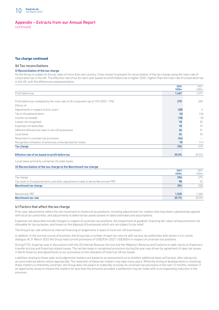

### Appendix – Extracts from our Annual Report continued

### **Tax charge continued**

### (b) Tax reconciliations

### (i) Reconciliation of the tax charge

As the Group is subject to the tax rates of more than one country, it has chosen to present its reconciliation of the tax charge using the main rate of corporation tax in the UK. The effective rate of tax for each year based on profit before tax is higher (2021: higher) than the main rate of corporation tax in the UK, with the differences explained below.

|                                                                                        | 2022  | 2021  |
|----------------------------------------------------------------------------------------|-------|-------|
|                                                                                        | US\$m | US\$m |
| Profit before tax                                                                      | 1,447 | 1.077 |
|                                                                                        |       |       |
| Profit before tax multiplied by the main rate of UK corporation tax of 19% (2021: 19%) | 275   | 205   |
| Effects of:                                                                            |       |       |
| Adjustments in respect of prior years                                                  | (28)  | 3     |
| Tax on Exceptional items                                                               | (6)   | (16)  |
| Income not taxable                                                                     | (18)  | (5)   |
| Losses not recognised                                                                  | 18    | 20    |
| Expenses not deductible                                                                | 18    | 15    |
| Different effective tax rates in non-UK businesses                                     | 36    | 31    |
| Local taxes                                                                            | 34    | 33    |
| Movement in uncertain tax provisions                                                   | (24)  |       |
| Recognition/utilisation of previously unrecognised tax losses                          | (9)   | (11)  |
| Tax charge                                                                             | 296   | 275   |
|                                                                                        |       |       |
| Effective rate of tax based on profit before tax                                       | 20.5% | 25.5% |

Local taxes primarily comprise US state taxes.

### (ii) Reconciliation of the tax charge to the Benchmark tax charge

|                                                                                    | 2022<br><b>US\$m</b> | 2021<br>US\$m |
|------------------------------------------------------------------------------------|----------------------|---------------|
| Tax charge                                                                         | 296                  | 275           |
| Tax relief on Exceptional items and other adjustments made to derive Benchmark PBT | 98                   | 53            |
| Benchmark tax charge                                                               | 394                  | 328           |
|                                                                                    |                      |               |
| Benchmark PBT                                                                      | 1.535                | 1.265         |
| <b>Benchmark tax rate</b>                                                          | 25.7%                | 25.9%         |

#### (c) Factors that affect the tax charge

Prior year adjustments reflect the net movement on historical tax positions, including adjustments for matters that have been substantively agreed with local tax authorities, and adjustments to deferred tax assets based on latest estimates and assumptions.

Expenses not deductible include charges in respect of uncertain tax positions, the impairment of goodwill, financing fair value remeasurements not allowable for tax purposes, and losses on the disposal of businesses which are not subject to tax relief.

The Group's tax rate reflects its internal financing arrangements in place to fund non-UK businesses.

In addition, in the normal course of business, the Group has a number of open tax returns with various tax authorities with whom it is in active dialogue. At 31 March 2022 the Group held current provisions of US\$293m (2021: US\$350m) in respect of uncertain tax positions.

During FY22, Experian was in discussions with the US Internal Revenue Service and Her Majesty's Revenue and Customs to seek clarity on Experian's transfer pricing and financing related issues. The net decrease in recognised provisions during the year was driven by agreement of open tax issues in North America and adjustments to our provisions on the utilisation of historical UK tax losses.

Liabilities relating to these open and judgmental matters are based on an assessment as to whether additional taxes will be due, after taking into account external advice where appropriate. The resolution of these tax matters may take many years. While the timing of developments in resolving these matters is inherently uncertain, the Group does not expect to materially increase its uncertain tax provisions in the next 12 months, however if an opportunity arose to resolve the matters for less than the amounts provided, a settlement may be made with a corresponding reduction in the provision.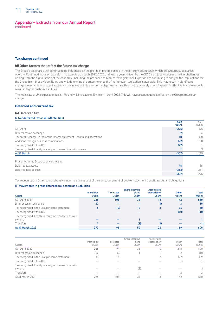

### Appendix – Extracts from our Annual Report continued

### **Tax charge continued**

### (d) Other factors that affect the future tax charge

The Group's tax charge will continue to be influenced by the profile of profits earned in the different countries in which the Group's subsidiaries operate. Continued focus on tax reform is expected through 2022, 2023 and future years driven by the OECD's project to address the tax challenges arising from the digitalisation of the economy (including the proposed minimum tax legislation). Experian are continuing to analyse the implications for the Group from these Model Rules and will determine the outcome once the final relevant legislation is available. This may result in significant changes to established tax principles and an increase in tax authority disputes. In turn, this could adversely affect Experian's effective tax rate or could result in higher cash tax liabilities.

The main rate of UK corporation tax is 19% and will increase to 25% from 1 April 2023. This will have a consequential effect on the Group's future tax charge.

### **Deferred and current tax**

### (a) Deferred tax

### (i) Net deferred tax assets/(liabilities)

|                                                                           | 2022              | 2021  |
|---------------------------------------------------------------------------|-------------------|-------|
|                                                                           | US\$ <sub>m</sub> | US\$m |
| At 1 April                                                                | (275)             | (95)  |
| Differences on exchange                                                   | (7)               | 4     |
| Tax credit/(charge) in the Group income statement – continuing operations | 18                | (80)  |
| Additions through business combinations                                   | (22)              | (100) |
| Tax recognised within OCI                                                 | (22)              | (1)   |
| Tax recognised directly in equity on transactions with owners             |                   | (3)   |
| At 31 March                                                               | (307)             | (275) |
| Presented in the Group balance sheet as:                                  |                   |       |
| Deferred tax assets                                                       | 46                | 86    |
| Deferred tax liabilities                                                  | (353)             | (361) |
|                                                                           | (307)             | (275) |

Tax recognised in Other comprehensive income is in respect of the remeasurement of post-employment benefit assets and obligations.

### (ii) Movements in gross deferred tax assets and liabilities

|                                                        |                                    |                                   | <b>Share incentive</b>     | <b>Accelerated</b>           |                            |                       |
|--------------------------------------------------------|------------------------------------|-----------------------------------|----------------------------|------------------------------|----------------------------|-----------------------|
| <b>Assets</b>                                          | <b>Intangibles</b><br><b>US\$m</b> | <b>Tax losses</b><br><b>US\$m</b> | plans<br>US\$ <sub>m</sub> | depreciation<br><b>US\$m</b> | Other<br>US\$ <sub>m</sub> | <b>Total</b><br>US\$m |
| At 1 April 2021                                        | 226                                | 108                               | 36                         | 18                           | 142                        | 530                   |
| Differences on exchange                                | 37                                 |                                   |                            | (1)                          | 3                          | 39                    |
| Tax recognised in the Group income statement           | 6                                  | (12)                              | 14                         | 8                            | 34                         | 50                    |
| Tax recognised within OCI                              |                                    |                                   |                            |                              | (10)                       | (10)                  |
| Tax recognised directly in equity on transactions with |                                    |                                   |                            |                              |                            |                       |
| owners                                                 |                                    |                                   |                            |                              |                            |                       |
| <b>Transfers</b>                                       |                                    |                                   | (1)                        | (1)                          |                            | (1)                   |
| At 31 March 2022                                       | 270                                | 96                                | 50                         | 24                           | 169                        | 609                   |

| Assets                                                 | Intangibles<br>US\$m | Tax losses<br>US\$m | Share incentive<br>plans<br>US\$m | Accelerated<br>depreciation<br>US\$m | Other<br>US\$m | Total<br>US\$m |
|--------------------------------------------------------|----------------------|---------------------|-----------------------------------|--------------------------------------|----------------|----------------|
| At 1 April 2020                                        | 246                  | 94                  | 35                                | 10                                   | 215            | 600            |
| Differences on exchange                                | (12)                 | (2)                 |                                   |                                      |                | (10)           |
| Tax recognised in the Group income statement           | (8)                  | 16                  |                                   |                                      | (77)           | (59)           |
| Tax recognised within OCI                              |                      |                     |                                   |                                      | (1)            | (1)            |
| Tax recognised directly in equity on transactions with |                      |                     |                                   |                                      |                |                |
| owners                                                 |                      |                     | (3)                               |                                      |                | (3)            |
| <b>Transfers</b>                                       |                      |                     |                                   |                                      |                | 3              |
| At 31 March 2021                                       | 226                  | 108                 | 36                                | 18                                   | 142            | 530            |